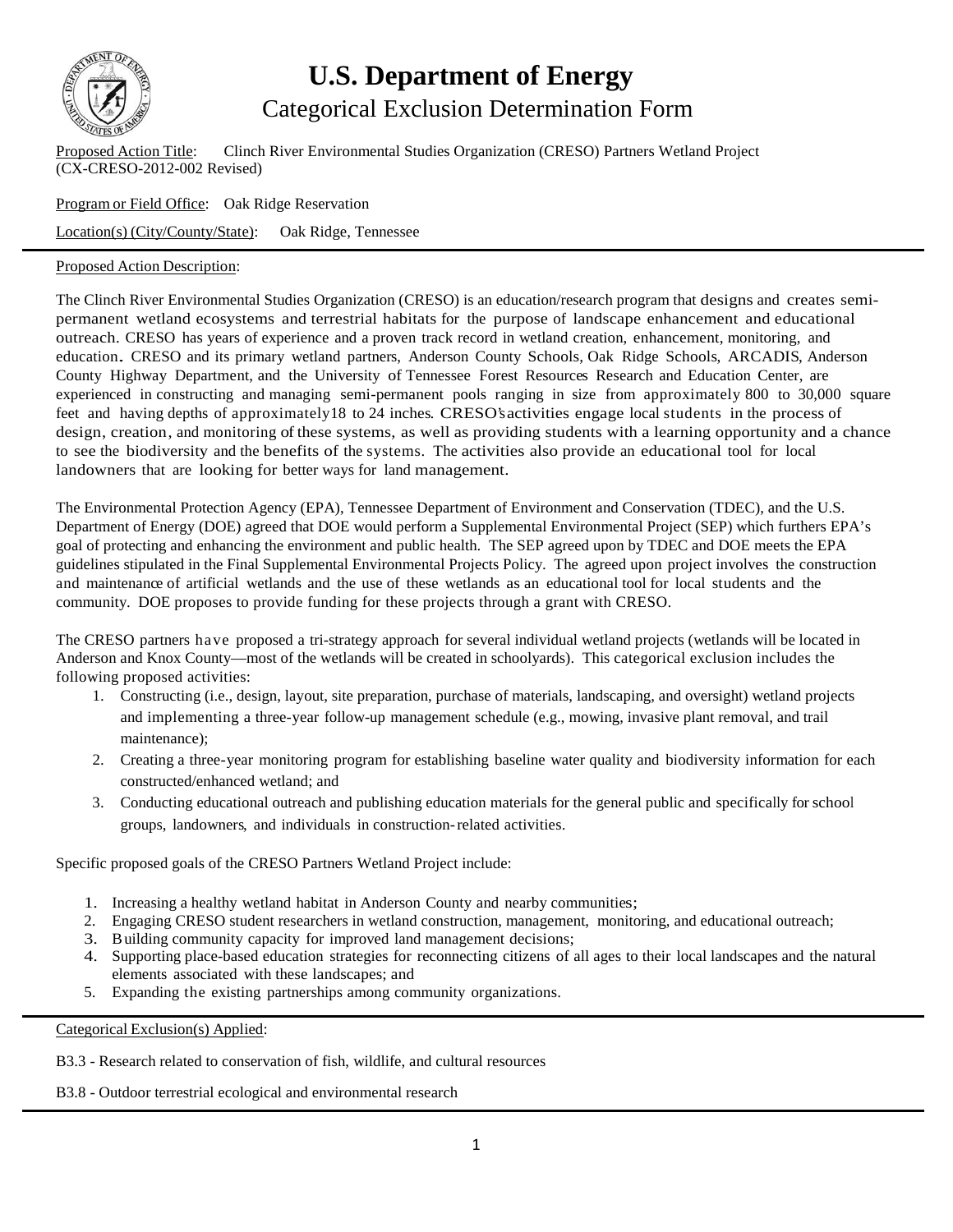

## **U.S. Department of Energy** Categorical Exclusion Determination Form

Proposed Action Title: Clinch River Environmental Studies Organization (CRESO) Partners Wetland Project (CX-CRESO-2012-002 Revised)

Program or Field Office: Oak Ridge Reservation Location(s) (City/County/State): Oak Ridge, Tennessee

## Proposed Action Description:

The Clinch River Environmental Studies Organization (CRESO) is an education/research program that designs and creates semipermanent wetland ecosystems and terrestrial habitats for the purpose of landscape enhancement and educational outreach. CRESO has years of experience and a proven track record in wetland creation, enhancement, monitoring, and education. CRESO and its primary wetland partners, Anderson County Schools, Oak Ridge Schools, ARCADIS, Anderson County Highway Department, and the University of Tennessee Forest Resources Research and Education Center, are experienced in constructing and managing semi-permanent pools ranging in size from approximately 800 to 30,000 square feet and having depths of approximately18 to 24 inches. CRESO'sactivities engage local students in the process of design, creation, and monitoring of these systems, as well as providing students with a learning opportunity and a chance to see the biodiversity and the benefits of the systems. The activities also provide an educational tool for local landowners that are looking for better ways for land management.

The Environmental Protection Agency (EPA), Tennessee Department of Environment and Conservation (TDEC), and the U.S. Department of Energy (DOE) agreed that DOE would perform a Supplemental Environmental Project (SEP) which furthers EPA's goal of protecting and enhancing the environment and public health. The SEP agreed upon by TDEC and DOE meets the EPA guidelines stipulated in the Final Supplemental Environmental Projects Policy. The agreed upon project involves the construction and maintenance of artificial wetlands and the use of these wetlands as an educational tool for local students and the community. DOE proposes to provide funding for these projects through a grant with CRESO.

The CRESO partners have proposed a tri-strategy approach for several individual wetland projects (wetlands will be located in Anderson and Knox County—most of the wetlands will be created in schoolyards). This categorical exclusion includes the following proposed activities:

- 1. Constructing (i.e., design, layout, site preparation, purchase of materials, landscaping, and oversight) wetland projects and implementing a three-year follow-up management schedule (e.g., mowing, invasive plant removal, and trail maintenance);
- 2. Creating a three-year monitoring program for establishing baseline water quality and biodiversity information for each constructed/enhanced wetland; and
- 3. Conducting educational outreach and publishing education materials for the general public and specifically for school groups, landowners, and individuals in construction-related activities.

Specific proposed goals of the CRESO Partners Wetland Project include:

- 1. Increasing a healthy wetland habitat in Anderson County and nearby communities;
- 2. Engaging CRESO student researchers in wetland construction, management, monitoring, and educational outreach;
- 3. Building community capacity for improved land management decisions;
- 4. Supporting place-based education strategies for reconnecting citizens of all ages to their local landscapes and the natural elements associated with these landscapes; and
- 5. Expanding the existing partnerships among community organizations.

Categorical Exclusion(s) Applied:

B3.3 - Research related to conservation of fish, wildlife, and cultural resources

B3.8 - Outdoor terrestrial ecological and environmental research